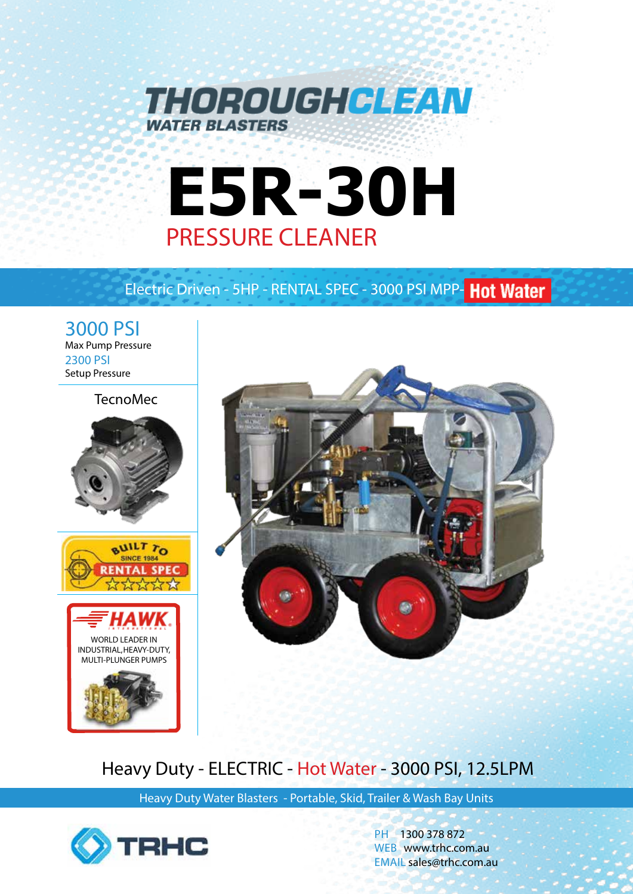

# **E5R-30H** PRESSURE CLEANER

# Electric Driven - 5HP - RENTAL SPEC - 3000 PSI MPP- Hot Water

3000 PSI Max Pump Pressure 2300 PSI Setup Pressure

## TecnoMec





# Heavy Duty - ELECTRIC - Hot Water - 3000 PSI, 12.5LPM

Heavy Duty Water Blasters - Portable, Skid, Trailer & Wash Bay Units



PH 1300 378 872 WEB www.trhc.com.au EMAIL sales@trhc.com.au